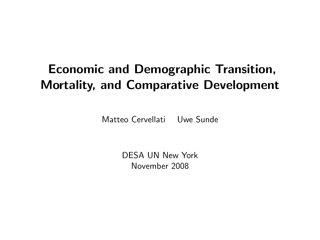# Economic and Demographic Transition, Mortality, and Comparative Development

Matteo Cervellati Uwe Sunde

DESA UN New York November 2008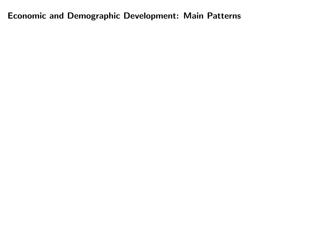Economic and Demographic Development: Main Patterns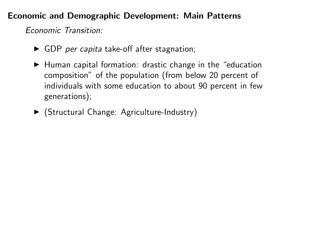### Economic and Demographic Development: Main Patterns

Economic Transition:

- $\triangleright$  GDP per capita take-off after stagnation;
- $\blacktriangleright$  Human capital formation: drastic change in the "education composition" of the population (from below 20 percent of individuals with some education to about 90 percent in few generations);
- ▶ (Structural Change: Agriculture-Industry)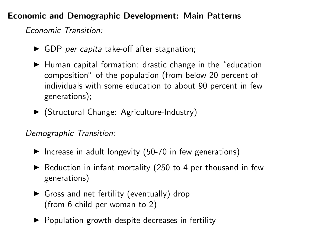## Economic and Demographic Development: Main Patterns

Economic Transition:

- $\triangleright$  GDP per capita take-off after stagnation;
- $\blacktriangleright$  Human capital formation: drastic change in the "education composition" of the population (from below 20 percent of individuals with some education to about 90 percent in few generations);
- <sup>I</sup> (Structural Change: Agriculture-Industry)

Demographic Transition:

- $\blacktriangleright$  Increase in adult longevity (50-70 in few generations)
- $\blacktriangleright$  Reduction in infant mortality (250 to 4 per thousand in few generations)
- $\triangleright$  Gross and net fertility (eventually) drop (from 6 child per woman to 2)
- $\triangleright$  Population growth despite decreases in fertility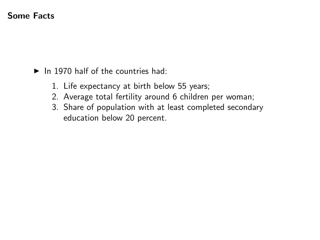### Some Facts

- $\blacktriangleright$  In 1970 half of the countries had:
	- 1. Life expectancy at birth below 55 years;
	- 2. Average total fertility around 6 children per woman;
	- 3. Share of population with at least completed secondary education below 20 percent.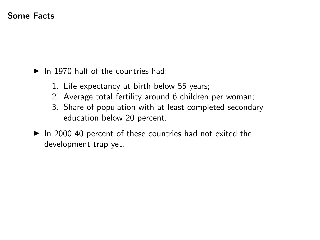### Some Facts

- $\blacktriangleright$  In 1970 half of the countries had:
	- 1. Life expectancy at birth below 55 years;
	- 2. Average total fertility around 6 children per woman;
	- 3. Share of population with at least completed secondary education below 20 percent.
- $\blacktriangleright$  In 2000 40 percent of these countries had not exited the development trap yet.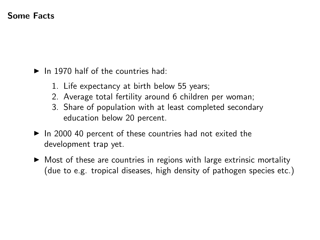### Some Facts

- $\blacktriangleright$  In 1970 half of the countries had:
	- 1. Life expectancy at birth below 55 years;
	- 2. Average total fertility around 6 children per woman;
	- 3. Share of population with at least completed secondary education below 20 percent.
- $\triangleright$  In 2000 40 percent of these countries had not exited the development trap yet.
- $\triangleright$  Most of these are countries in regions with large extrinsic mortality (due to e.g. tropical diseases, high density of pathogen species etc.)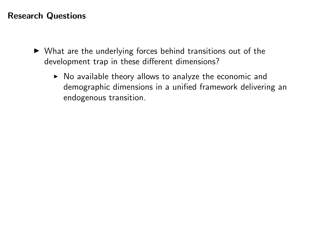### Research Questions

- $\triangleright$  What are the underlying forces behind transitions out of the development trap in these different dimensions?
	- $\triangleright$  No available theory allows to analyze the economic and demographic dimensions in a unified framework delivering an endogenous transition.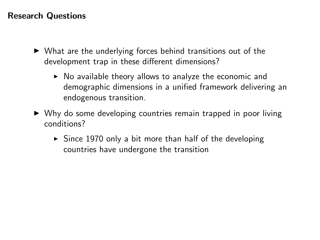### Research Questions

- $\triangleright$  What are the underlying forces behind transitions out of the development trap in these different dimensions?
	- $\triangleright$  No available theory allows to analyze the economic and demographic dimensions in a unified framework delivering an endogenous transition.
- $\triangleright$  Why do some developing countries remain trapped in poor living conditions?
	- $\triangleright$  Since 1970 only a bit more than half of the developing countries have undergone the transition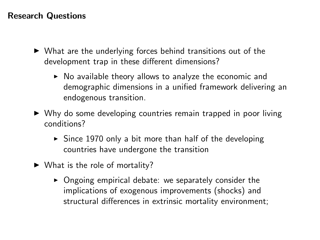### Research Questions

- $\triangleright$  What are the underlying forces behind transitions out of the development trap in these different dimensions?
	- $\triangleright$  No available theory allows to analyze the economic and demographic dimensions in a unified framework delivering an endogenous transition.
- $\triangleright$  Why do some developing countries remain trapped in poor living conditions?
	- $\triangleright$  Since 1970 only a bit more than half of the developing countries have undergone the transition
- $\blacktriangleright$  What is the role of mortality?
	- $\triangleright$  Ongoing empirical debate: we separately consider the implications of exogenous improvements (shocks) and structural differences in extrinsic mortality environment;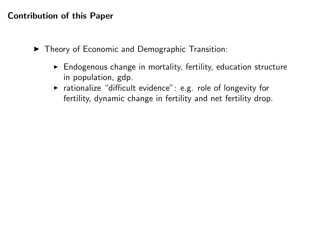### Contribution of this Paper

- $\blacktriangleright$  Theory of Economic and Demographic Transition:
	- $\triangleright$  Endogenous change in mortality, fertility, education structure in population, gdp.
	- $\triangleright$  rationalize "difficult evidence": e.g. role of longevity for fertility, dynamic change in fertility and net fertility drop.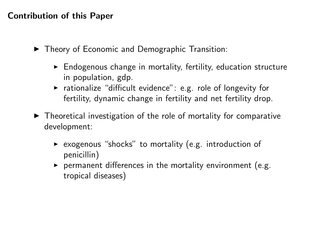### Contribution of this Paper

- $\blacktriangleright$  Theory of Economic and Demographic Transition:
	- $\triangleright$  Endogenous change in mortality, fertility, education structure in population, gdp.
	- $\triangleright$  rationalize "difficult evidence": e.g. role of longevity for fertility, dynamic change in fertility and net fertility drop.
- $\blacktriangleright$  Theoretical investigation of the role of mortality for comparative development:
	- $\triangleright$  exogenous "shocks" to mortality (e.g. introduction of penicillin)
	- $\triangleright$  permanent differences in the mortality environment (e.g. tropical diseases)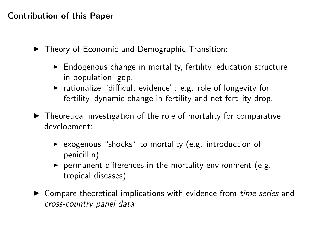### Contribution of this Paper

- ▶ Theory of Economic and Demographic Transition:
	- $\triangleright$  Endogenous change in mortality, fertility, education structure in population, gdp.
	- $\triangleright$  rationalize "difficult evidence": e.g. role of longevity for fertility, dynamic change in fertility and net fertility drop.
- $\blacktriangleright$  Theoretical investigation of the role of mortality for comparative development:
	- $\triangleright$  exogenous "shocks" to mortality (e.g. introduction of penicillin)
	- $\triangleright$  permanent differences in the mortality environment (e.g. tropical diseases)
- $\triangleright$  Compare theoretical implications with evidence from *time series* and cross-country panel data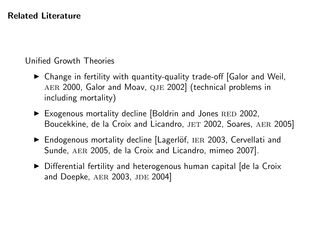### Related Literature

## Unified Growth Theories

- $\triangleright$  Change in fertility with quantity-quality trade-off [Galor and Weil, aer 2000, Galor and Moav, qje 2002] (technical problems in including mortality)
- $\blacktriangleright$  Exogenous mortality decline [Boldrin and Jones RED 2002, Boucekkine, de la Croix and Licandro, JET 2002, Soares, AER 2005]
- ▶ Endogenous mortality decline [Lagerlöf, IER 2003, Cervellati and Sunde, AER 2005, de la Croix and Licandro, mimeo 2007].
- $\triangleright$  Differential fertility and heterogenous human capital [de la Croix and Doepke, AER 2003, JDE 2004]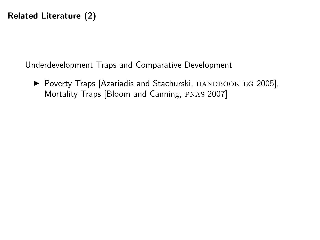Underdevelopment Traps and Comparative Development

▶ Poverty Traps [Azariadis and Stachurski, HANDBOOK EG 2005], Mortality Traps [Bloom and Canning, pnas 2007]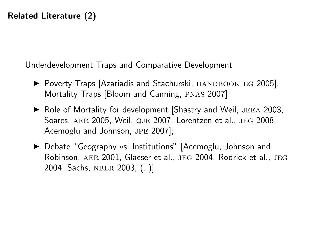Underdevelopment Traps and Comparative Development

- $\triangleright$  Poverty Traps [Azariadis and Stachurski, HANDBOOK EG 2005], Mortality Traps [Bloom and Canning, pnas 2007]
- $\triangleright$  Role of Mortality for development Shastry and Weil, JEEA 2003, Soares, AER 2005, Weil, QJE 2007, Lorentzen et al., JEG 2008, Acemoglu and Johnson, jpe 2007];
- ▶ Debate "Geography vs. Institutions" [Acemoglu, Johnson and Robinson, AER 2001, Glaeser et al., JEG 2004, Rodrick et al., JEG 2004, Sachs, nber 2003, (..)]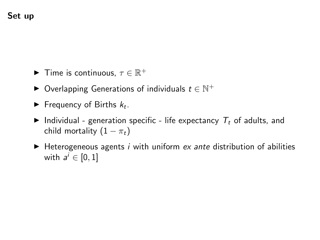- $\blacktriangleright$  Time is continuous,  $\tau \in \mathbb{R}^+$
- $\blacktriangleright$  Overlapping Generations of individuals  $t \in \mathbb{N}^+$
- Frequency of Births  $k_t$ .
- Individual generation specific life expectancy  $T_t$  of adults, and child mortality  $(1 - \pi_t)$
- $\blacktriangleright$  Heterogeneous agents *i* with uniform *ex ante* distribution of abilities with  $a^i \in [0,1]$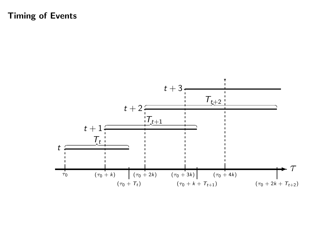### Timing of Events

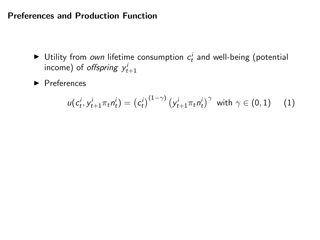### Preferences and Production Function

- $\blacktriangleright$  Utility from own lifetime consumption  $c_t^i$  and well-being (potential income) of *offspring*  $y_{t+1}^i$
- $\blacktriangleright$  Preferences

$$
u(c_t^i, y_{t+1}^i \pi_t n_t^i) = (c_t^i)^{(1-\gamma)} (y_{t+1}^i \pi_t n_t^i)^{\gamma} \text{ with } \gamma \in (0,1) \quad (1)
$$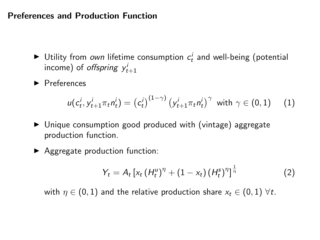### Preferences and Production Function

- $\blacktriangleright$  Utility from own lifetime consumption  $c_t^i$  and well-being (potential income) of *offspring*  $y_{t+1}^i$
- $\blacktriangleright$  Preferences

$$
u(c_t^i, y_{t+1}^i \pi_t n_t^i) = (c_t^i)^{(1-\gamma)} (y_{t+1}^i \pi_t n_t^i)^{\gamma} \text{ with } \gamma \in (0,1) \quad (1)
$$

- $\triangleright$  Unique consumption good produced with (vintage) aggregate production function.
- $\blacktriangleright$  Aggregate production function:

$$
Y_{t} = A_{t} \left[ x_{t} \left( H_{t}^{\mu} \right)^{\eta} + \left( 1 - x_{t} \right) \left( H_{t}^{s} \right)^{\eta} \right]^{\frac{1}{\eta}}
$$
(2)

with  $\eta \in (0,1)$  and the relative production share  $x_t \in (0,1)$   $\forall t$ .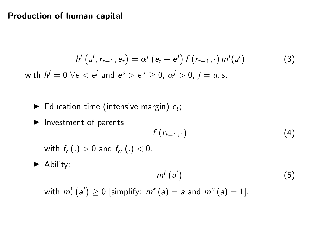#### Production of human capital

$$
h^j\left(a^j, r_{t-1}, e_t\right) = \alpha^j\left(e_t - \underline{e}^j\right) f\left(r_{t-1}, \cdot\right) m^j\left(a^j\right) \tag{3}
$$
\n
$$
\text{with } h^j = 0 \ \forall e < \underline{e}^j \text{ and } \underline{e}^s > \underline{e}^u \ge 0, \ \alpha^j > 0, \ j = u, s.
$$

- Education time (intensive margin)  $e_t$ ;
- $\blacktriangleright$  Investment of parents:

$$
f(r_{t-1},\cdot) \tag{4}
$$

with  $f_r(.) > 0$  and  $f_{rr}(.) < 0$ .

 $\blacktriangleright$  Ability:

$$
m^j\left(a^i\right) \tag{5}
$$

with  $m_r^j\left( a^i\right) \geq 0$  [simplify:  $m^s\left( a\right) =$  a and  $m^u\left( a\right) =1].$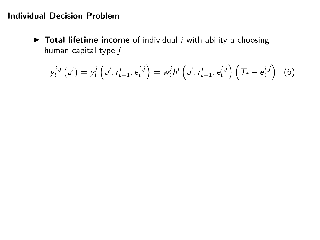### Individual Decision Problem

 $\triangleright$  Total lifetime income of individual *i* with ability *a* choosing human capital type  $j$ 

<span id="page-21-0"></span>
$$
y_t^{i,j} (a^i) = y_t^j \left( a^i, r_{t-1}^i, e_t^{i,j} \right) = w_t^j h^j \left( a^i, r_{t-1}^i, e_t^{i,j} \right) \left( T_t - e_t^{i,j} \right) (6)
$$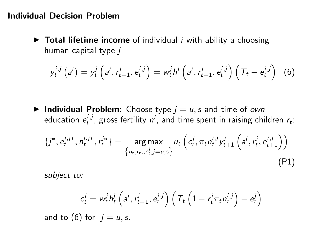#### Individual Decision Problem

 $\triangleright$  Total lifetime income of individual *i* with ability *a* choosing human capital type j

$$
y_t^{i,j} (a^i) = y_t^j \left( a^i, r_{t-1}^i, e_t^{i,j} \right) = w_t^j h^j \left( a^i, r_{t-1}^i, e_t^{i,j} \right) \left( T_t - e_t^{i,j} \right) (6)
$$

 $\blacktriangleright$  Individual Problem: Choose type  $j = u$ , s and time of own education  $e_t^{i,j}$ , gross fertility  $n^i$ , and time spent in raising children  $r_t$ :

$$
\{j^*, e_t^{i,j*}, n_t^{i,j*}, r_t^{i*}\} = \underset{\{n_t, r_t, e_t^j, j = u, s\}}{\arg \max} u_t \left( c_t^i, \pi_t n_t^{i,j} y_{t+1}^j \left( a^i, r_t^i, e_{t+1}^{i,j} \right) \right)
$$
\n
$$
(P1)
$$

subject to:

$$
c_t^i = w_t^j h_t^i \left( a^i, r_{t-1}^i, e_t^{i,j} \right) \left( \mathcal{T}_t \left( 1 - r_t^i \pi_t n_t^{i,j} \right) - e_t^j \right)
$$

and to [\(6\)](#page-21-0) for  $j = u, s$ .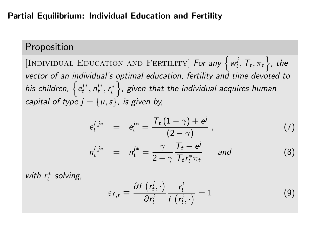#### Partial Equilibrium: Individual Education and Fertility

# Proposition

[INDIVIDUAL EDUCATION AND FERTILITY] For any  $\{w_t^j, T_t, \pi_t\}$ , the vector of an individual's optimal education, fertility and time devoted to his children,  $\left\{e^{i*}_t, n^{i*}_t, r^{*}_t\right\}$ , given that the individual acquires human capital of type  $j = \{u, s\}$ , is given by,

$$
e_t^{i,j*} = e_t^{j*} = \frac{T_t (1 - \gamma) + \underline{e}^j}{(2 - \gamma)},
$$
 (7)

$$
n_t^{i,j*} = n_t^{j*} = \frac{\gamma}{2-\gamma} \frac{T_t - \underline{e}^j}{T_t r_t^{*} \pi_t} \quad \text{and} \quad (8)
$$

with  $r_t^*$  solving,

$$
\varepsilon_{f,r} \equiv \frac{\partial f\left(r_t^i, \cdot\right)}{\partial r_t^i} \frac{r_t^i}{f\left(r_t^i, \cdot\right)} = 1 \tag{9}
$$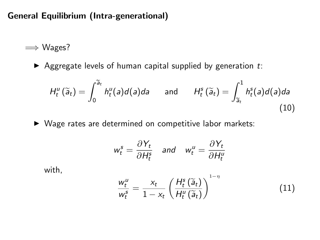General Equilibrium (Intra-generational)

=⇒ Wages?

Aggregate levels of human capital supplied by generation  $t$ : e

aggegate levels of human capital supplied by generation 
$$
t
$$
:

\n
$$
H_t^u(\widetilde{a}_t) = \int_0^{\widetilde{a}_t} h_t^u(a)d(a)da \quad \text{and} \quad H_t^s(\widetilde{a}_t) = \int_{\widetilde{a}_t}^1 h_t^s(a)d(a)da \tag{10}
$$

 $\triangleright$  Wage rates are determined on competitive labor markets:

$$
w_t^s = \frac{\partial Y_t}{\partial H_t^s} \quad \text{and} \quad w_t^u = \frac{\partial Y_t}{\partial H_t^u}
$$

with,

<span id="page-24-0"></span>
$$
\frac{w_t^{\mu}}{w_t^s} = \frac{x_t}{1 - x_t} \left( \frac{H_t^s(\widetilde{a}_t)}{H_t^{\mu}(\widetilde{a}_t)} \right)^{1 - \eta}
$$
(11)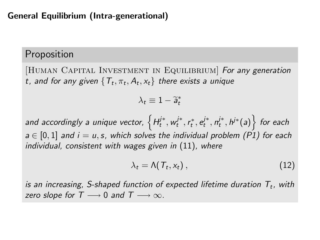### General Equilibrium (Intra-generational)

# Proposition

[HUMAN CAPITAL INVESTMENT IN EQUILIBRIUM] For any generation t, and for any given  $\{T_t, \pi_t, A_t, x_t\}$  there exists a unique

$$
\lambda_t \equiv 1 - \widetilde{a}_t^*
$$

and accordingly a unique vector,  $\left\{H_t^{j*}, w_t^{j*}, r_t^*, e_t^{j*}, n_t^{j*}, h^{j*} (a)\right\}$  for each  $a \in [0, 1]$  and  $i = u, s$ , which solves the individual problem (P1) for each individual, consistent with wages given in [\(11\)](#page-24-0), where

$$
\lambda_t = \Lambda(T_t, x_t), \qquad (12)
$$

is an increasing, S-shaped function of expected lifetime duration  $T_t$ , with zero slope for  $T \longrightarrow 0$  and  $T \longrightarrow \infty$ .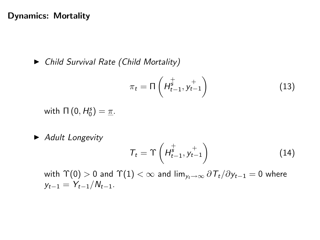#### Dynamics: Mortality

 $\blacktriangleright$  Child Survival Rate (Child Mortality)

$$
\pi_t = \Pi\left(H_{t-1}^{\dagger}, y_{t-1}^{+}\right) \tag{13}
$$

with  $\Pi(0, H_0^s) = \underline{\pi}$ .

 $\blacktriangleright$  Adult Longevity

$$
T_t = \Upsilon \left( H_{t-1}^{\frac{+}{s}}, y_{t-1}^{\frac{+}{s}} \right) \tag{14}
$$

with  $\Upsilon(0) > 0$  and  $\Upsilon(1) < \infty$  and  $\lim_{y_t \to \infty} \partial T_t / \partial y_{t-1} = 0$  where  $y_{t-1} = Y_{t-1}/N_{t-1}$ .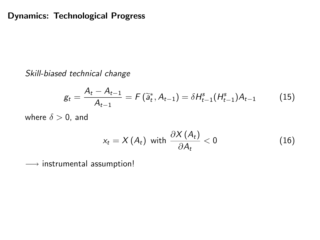Skill-biased technical change

$$
g_t = \frac{A_t - A_{t-1}}{A_{t-1}} = F(\tilde{a}_t^*, A_{t-1}) = \delta H_{t-1}^s(H_{t-1}^s)A_{t-1}
$$
(15)

where  $\delta > 0$ , and

$$
x_t = X(A_t) \text{ with } \frac{\partial X(A_t)}{\partial A_t} < 0 \tag{16}
$$

−→ instrumental assumption!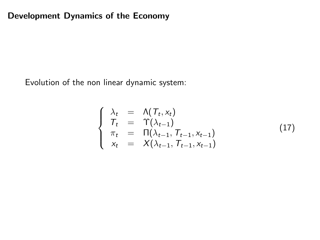### Development Dynamics of the Economy

Evolution of the non linear dynamic system:

$$
\begin{cases}\n\lambda_t = \Lambda(T_t, x_t) \\
T_t = \Upsilon(\lambda_{t-1}) \\
\pi_t = \Pi(\lambda_{t-1}, T_{t-1}, x_{t-1}) \\
x_t = X(\lambda_{t-1}, T_{t-1}, x_{t-1})\n\end{cases}
$$
\n(17)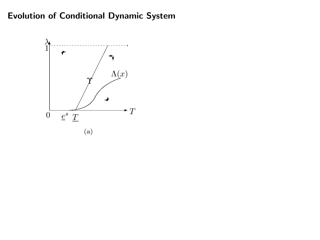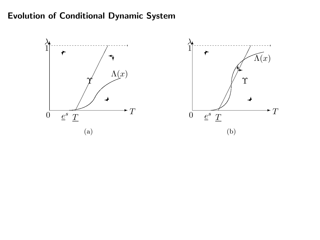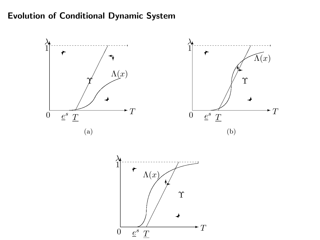

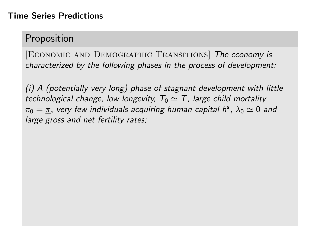### Time Series Predictions

# Proposition

[Economic and Demographic Transitions] The economy is characterized by the following phases in the process of development:

(i) A (potentially very long) phase of stagnant development with little technological change, low longevity,  $T_0 \simeq T$ , large child mortality  $\pi_0=\underline{\pi},$  very few individuals acquiring human capital h<sup>s</sup>,  $\lambda_0\simeq 0$  and large gross and net fertility rates;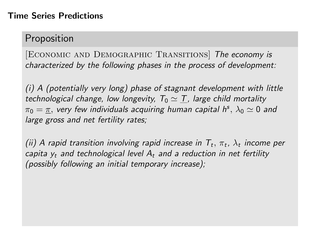# Proposition

[Economic and Demographic Transitions] The economy is characterized by the following phases in the process of development:

(i) A (potentially very long) phase of stagnant development with little technological change, low longevity,  $T_0 \simeq T$ , large child mortality  $\pi_0=\underline{\pi},$  very few individuals acquiring human capital h<sup>s</sup>,  $\lambda_0\simeq 0$  and large gross and net fertility rates;

(ii) A rapid transition involving rapid increase in  $T_t, \, \pi_t, \, \lambda_t$  income per capita  $y_t$  and technological level  $A_t$  and a reduction in net fertility (possibly following an initial temporary increase);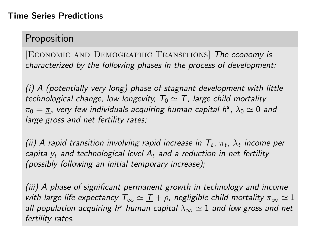# Proposition

[ECONOMIC AND DEMOGRAPHIC TRANSITIONS] The economy is characterized by the following phases in the process of development:

(i) A (potentially very long) phase of stagnant development with little technological change, low longevity,  $T_0 \simeq T$ , large child mortality  $\pi_0=\underline{\pi},$  very few individuals acquiring human capital h<sup>s</sup>,  $\lambda_0\simeq 0$  and large gross and net fertility rates;

(ii) A rapid transition involving rapid increase in  $T_t, \, \pi_t, \, \lambda_t$  income per capita  $y_t$  and technological level  $A_t$  and a reduction in net fertility (possibly following an initial temporary increase);

(iii) A phase of significant permanent growth in technology and income with large life expectancy  $T_{\infty} \simeq T + \rho$ , negligible child mortality  $\pi_{\infty} \simeq 1$ all population acquiring h<sup>s</sup> human capital  $\lambda_{\infty} \simeq 1$  and low gross and net fertility rates.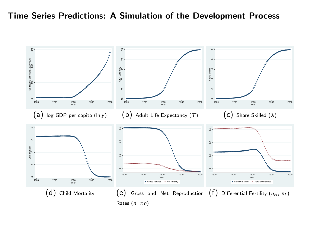Time Series Predictions: A Simulation of the Development Process

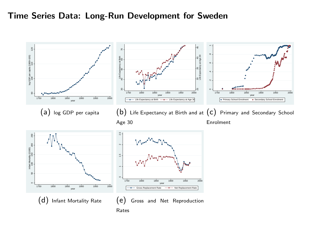#### Time Series Data: Long-Run Development for Sweden

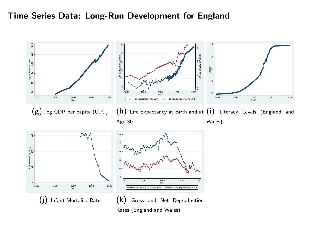#### Time Series Data: Long-Run Development for England

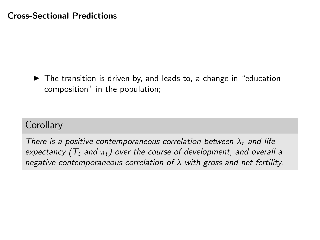$\triangleright$  The transition is driven by, and leads to, a change in "education composition" in the population;

# **Corollary**

There is a positive contemporaneous correlation between  $\lambda_t$  and life expectancy ( $T_t$  and  $\pi_t$ ) over the course of development, and overall a negative contemporaneous correlation of  $\lambda$  with gross and net fertility.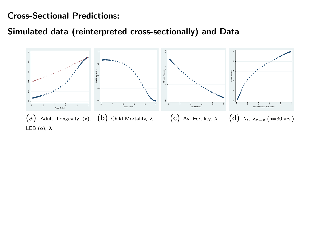Cross-Sectional Predictions:

Simulated data (reinterpreted cross-sectionally) and Data

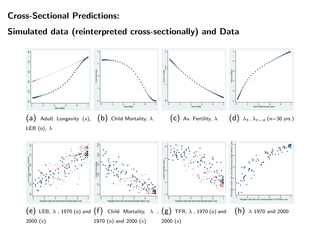Cross-Sectional Predictions:

Simulated data (reinterpreted cross-sectionally) and Data

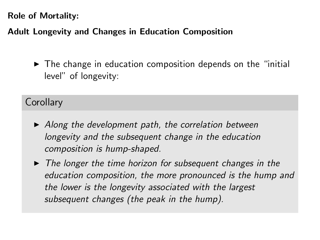# Adult Longevity and Changes in Education Composition

 $\triangleright$  The change in education composition depends on the "initial level" of longevity:

# **Corollary**

- $\blacktriangleright$  Along the development path, the correlation between longevity and the subsequent change in the education composition is hump-shaped.
- $\triangleright$  The longer the time horizon for subsequent changes in the education composition, the more pronounced is the hump and the lower is the longevity associated with the largest subsequent changes (the peak in the hump).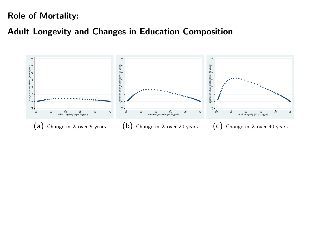## Adult Longevity and Changes in Education Composition

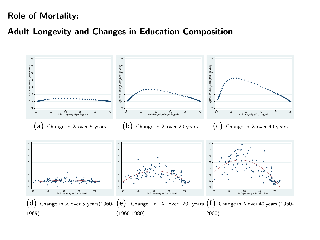### Adult Longevity and Changes in Education Composition

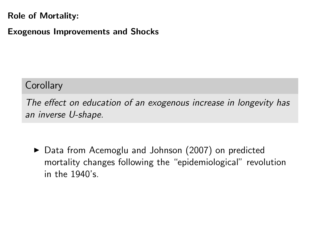Exogenous Improvements and Shocks

# **Corollary**

The effect on education of an exogenous increase in longevity has an inverse U-shape.

▶ Data from Acemoglu and Johnson (2007) on predicted mortality changes following the "epidemiological" revolution in the 1940's.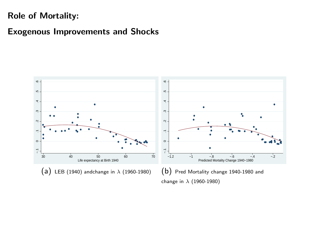### Exogenous Improvements and Shocks

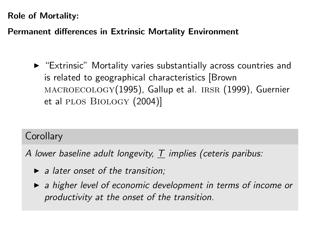## Permanent differences in Extrinsic Mortality Environment

 $\triangleright$  "Extrinsic" Mortality varies substantially across countries and is related to geographical characteristics [Brown MACROECOLOGY(1995), Gallup et al. IRSR (1999), Guernier et al plos Biology (2004)]

# **Corollary**

A lower baseline adult longevity, T implies (ceteris paribus:

- $\blacktriangleright$  a later onset of the transition;
- $\triangleright$  a higher level of economic development in terms of income or productivity at the onset of the transition.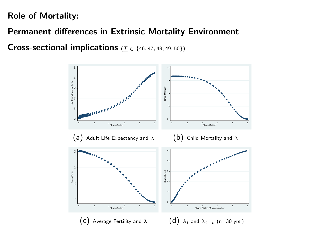Permanent differences in Extrinsic Mortality Environment

Cross-sectional implications ( $\mathcal{T} \in \{46, 47, 48, 49, 50\}$ )

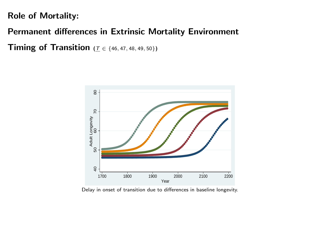Permanent differences in Extrinsic Mortality Environment

**Timing of Transition** ( $T$  ∈ {46, 47, 48, 49, 50})



Delay in onset of transition due to differences in baseline longevity.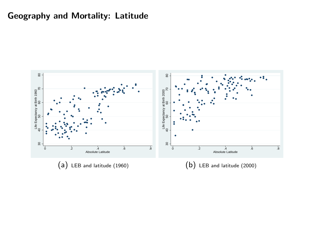## Geography and Mortality: Latitude

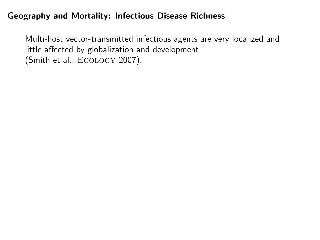### Geography and Mortality: Infectious Disease Richness

Multi-host vector-transmitted infectious agents are very localized and little affected by globalization and development (Smith et al., Ecology 2007).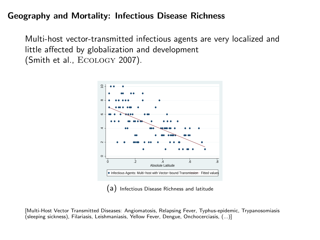### Geography and Mortality: Infectious Disease Richness

Multi-host vector-transmitted infectious agents are very localized and little affected by globalization and development (Smith et al., Ecology 2007).



(a) Infectious Disease Richness and latitude

[Multi-Host Vector Transmitted Diseases: Angiomatosis, Relapsing Fever, Typhus-epidemic, Trypanosomiasis (sleeping sickness), Filariasis, Leishmaniasis, Yellow Fever, Dengue, Onchocerciasis, (...)]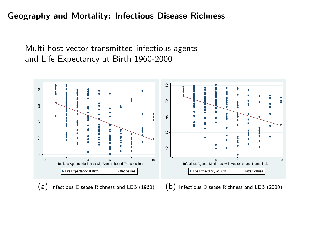Geography and Mortality: Infectious Disease Richness

Multi-host vector-transmitted infectious agents and Life Expectancy at Birth 1960-2000

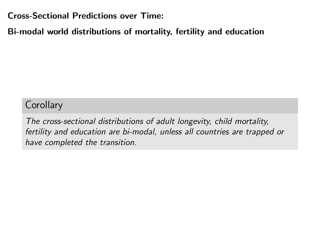Cross-Sectional Predictions over Time:

Bi-modal world distributions of mortality, fertility and education

# **Corollary**

The cross-sectional distributions of adult longevity, child mortality, fertility and education are bi-modal, unless all countries are trapped or have completed the transition.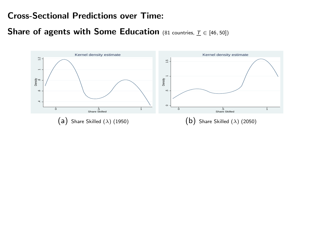### Cross-Sectional Predictions over Time:

Share of agents with Some Education (81 countries,  $T \in [46, 50]$ )

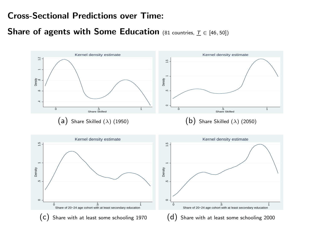### Cross-Sectional Predictions over Time:

Share of agents with Some Education (81 countries,  $T \in [46, 50]$ )

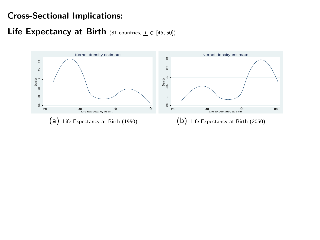Life Expectancy at Birth (81 countries,  $\underline{T} \in [46, 50]$ )

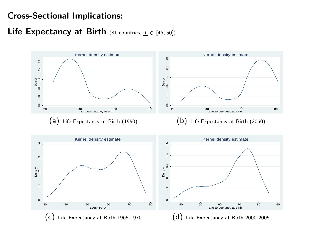Life Expectancy at Birth (81 countries,  $T \in [46, 50]$ )

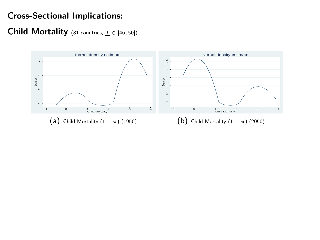### Child Mortality (81 countries,  $\underline{T} \in [46, 50]$ )

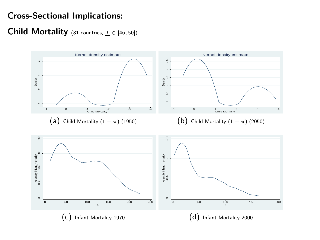#### **Child Mortality** (81 countries,  $\underline{T} \in [46, 50]$ )

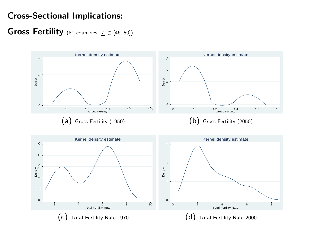Gross Fertility (81 countries,  $T \in [46, 50]$ )

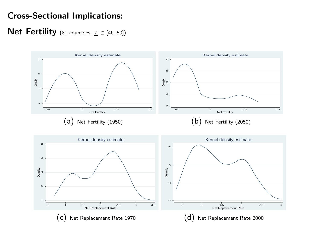Net Fertility (81 countries,  $T \in [46, 50]$ )

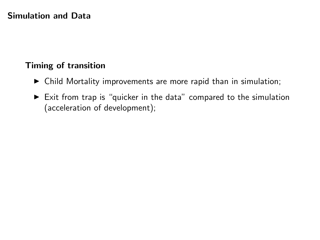### Simulation and Data

# Timing of transition

- $\triangleright$  Child Mortality improvements are more rapid than in simulation;
- $\triangleright$  Exit from trap is "quicker in the data" compared to the simulation (acceleration of development);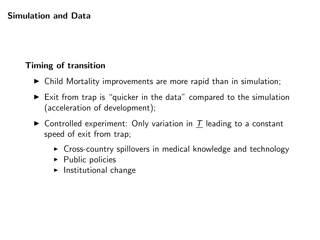### Simulation and Data

# Timing of transition

- $\triangleright$  Child Mortality improvements are more rapid than in simulation;
- $\blacktriangleright$  Exit from trap is "quicker in the data" compared to the simulation (acceleration of development);
- $\triangleright$  Controlled experiment: Only variation in T leading to a constant speed of exit from trap;
	- $\triangleright$  Cross-country spillovers in medical knowledge and technology
	- $\blacktriangleright$  Public policies
	- $\blacktriangleright$  Institutional change